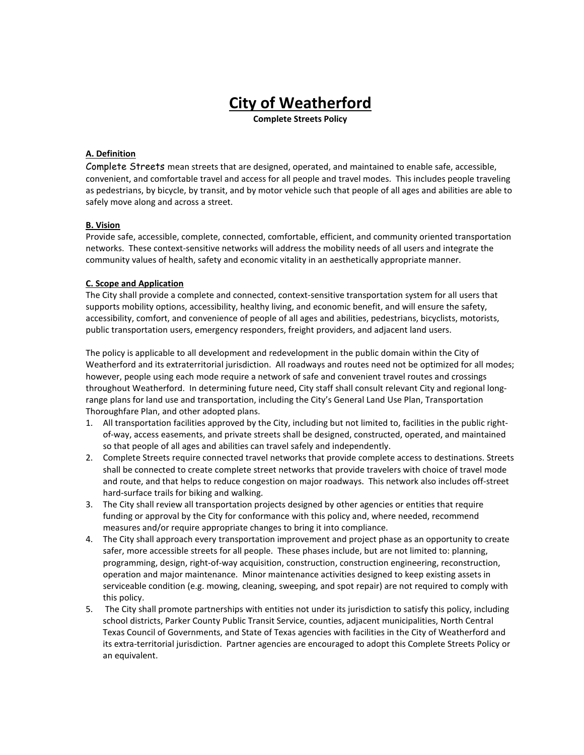# **City of Weatherford**

**Complete Streets Policy**

### **A. Definition**

Complete Streets mean streets that are designed, operated, and maintained to enable safe, accessible, convenient, and comfortable travel and access for all people and travel modes. This includes people traveling as pedestrians, by bicycle, by transit, and by motor vehicle such that people of all ages and abilities are able to safely move along and across a street.

#### **B. Vision**

Provide safe, accessible, complete, connected, comfortable, efficient, and community oriented transportation networks. These context-sensitive networks will address the mobility needs of all users and integrate the community values of health, safety and economic vitality in an aesthetically appropriate manner.

#### **C. Scope and Application**

The City shall provide a complete and connected, context-sensitive transportation system for all users that supports mobility options, accessibility, healthy living, and economic benefit, and will ensure the safety, accessibility, comfort, and convenience of people of all ages and abilities, pedestrians, bicyclists, motorists, public transportation users, emergency responders, freight providers, and adjacent land users.

The policy is applicable to all development and redevelopment in the public domain within the City of Weatherford and its extraterritorial jurisdiction. All roadways and routes need not be optimized for all modes; however, people using each mode require a network of safe and convenient travel routes and crossings throughout Weatherford. In determining future need, City staff shall consult relevant City and regional longrange plans for land use and transportation, including the City's General Land Use Plan, Transportation Thoroughfare Plan, and other adopted plans.

- 1. All transportation facilities approved by the City, including but not limited to, facilities in the public rightof-way, access easements, and private streets shall be designed, constructed, operated, and maintained so that people of all ages and abilities can travel safely and independently.
- 2. Complete Streets require connected travel networks that provide complete access to destinations. Streets shall be connected to create complete street networks that provide travelers with choice of travel mode and route, and that helps to reduce congestion on major roadways. This network also includes off-street hard-surface trails for biking and walking.
- 3. The City shall review all transportation projects designed by other agencies or entities that require funding or approval by the City for conformance with this policy and, where needed, recommend measures and/or require appropriate changes to bring it into compliance.
- 4. The City shall approach every transportation improvement and project phase as an opportunity to create safer, more accessible streets for all people. These phases include, but are not limited to: planning, programming, design, right-of-way acquisition, construction, construction engineering, reconstruction, operation and major maintenance. Minor maintenance activities designed to keep existing assets in serviceable condition (e.g. mowing, cleaning, sweeping, and spot repair) are not required to comply with this policy.
- 5. The City shall promote partnerships with entities not under its jurisdiction to satisfy this policy, including school districts, Parker County Public Transit Service, counties, adjacent municipalities, North Central Texas Council of Governments, and State of Texas agencies with facilities in the City of Weatherford and its extra-territorial jurisdiction. Partner agencies are encouraged to adopt this Complete Streets Policy or an equivalent.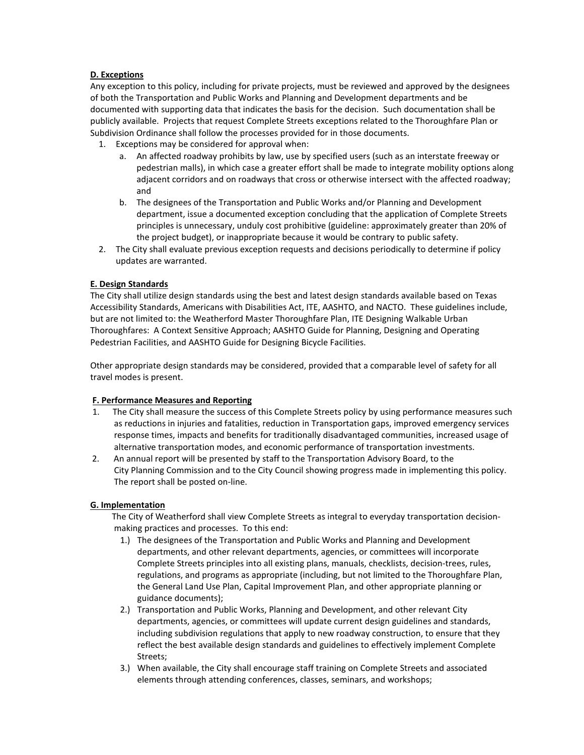## **D. Exceptions**

 Any exception to this policy, including for private projects, must be reviewed and approved by the designees of both the Transportation and Public Works and Planning and Development departments and be documented with supporting data that indicates the basis for the decision. Such documentation shall be publicly available. Projects that request Complete Streets exceptions related to the Thoroughfare Plan or Subdivision Ordinance shall follow the processes provided for in those documents.

- 1. Exceptions may be considered for approval when:
	- a. An affected roadway prohibits by law, use by specified users (such as an interstate freeway or pedestrian malls), in which case a greater effort shall be made to integrate mobility options along adjacent corridors and on roadways that cross or otherwise intersect with the affected roadway; and
	- b. The designees of the Transportation and Public Works and/or Planning and Development department, issue a documented exception concluding that the application of Complete Streets principles is unnecessary, unduly cost prohibitive (guideline: approximately greater than 20% of the project budget), or inappropriate because it would be contrary to public safety.
- 2. The City shall evaluate previous exception requests and decisions periodically to determine if policy updates are warranted.

# **E. Design Standards**

 The City shall utilize design standards using the best and latest design standards available based on Texas Accessibility Standards, Americans with Disabilities Act, ITE, AASHTO, and NACTO. These guidelines include, but are not limited to: the Weatherford Master Thoroughfare Plan, ITE Designing Walkable Urban Thoroughfares: A Context Sensitive Approach; AASHTO Guide for Planning, Designing and Operating Pedestrian Facilities, and AASHTO Guide for Designing Bicycle Facilities.

 Other appropriate design standards may be considered, provided that a comparable level of safety for all travel modes is present.

## **F. Performance Measures and Reporting**

- The City shall measure the success of this Complete Streets policy by using performance measures such as reductions in injuries and fatalities, reduction in Transportation gaps, improved emergency services response times, impacts and benefits for traditionally disadvantaged communities, increased usage of alternative transportation modes, and economic performance of transportation investments.
- 2. An annual report will be presented by staff to the Transportation Advisory Board, to the City Planning Commission and to the City Council showing progress made in implementing this policy. The report shall be posted on-line.

## **G. Implementation**

 The City of Weatherford shall view Complete Streets as integral to everyday transportation decision making practices and processes. To this end:

- 1.) The designees of the Transportation and Public Works and Planning and Development departments, and other relevant departments, agencies, or committees will incorporate Complete Streets principles into all existing plans, manuals, checklists, decision-trees, rules, regulations, and programs as appropriate (including, but not limited to the Thoroughfare Plan, the General Land Use Plan, Capital Improvement Plan, and other appropriate planning or guidance documents);
- 2.) Transportation and Public Works, Planning and Development, and other relevant City departments, agencies, or committees will update current design guidelines and standards, including subdivision regulations that apply to new roadway construction, to ensure that they reflect the best available design standards and guidelines to effectively implement Complete Streets;
- 3.) When available, the City shall encourage staff training on Complete Streets and associated elements through attending conferences, classes, seminars, and workshops;